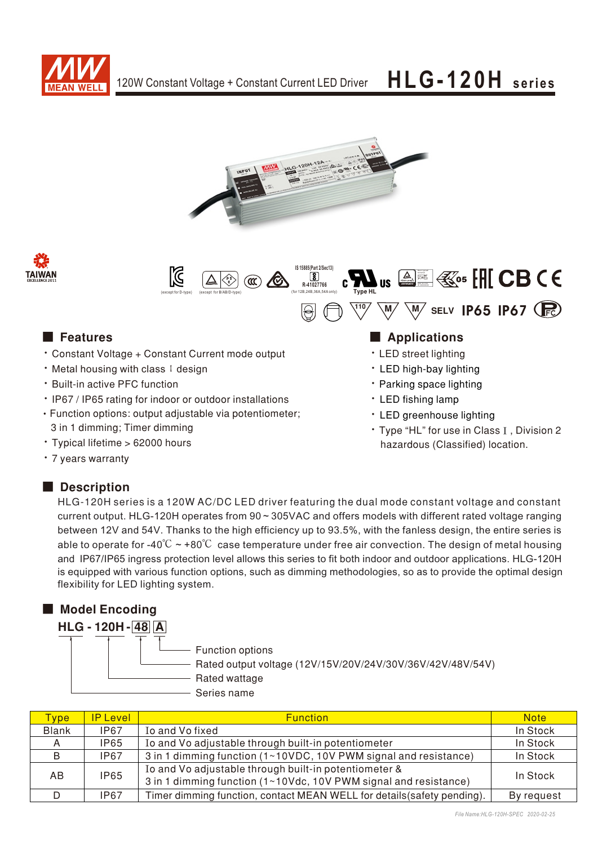







• LED street lighting • LED high-bay lighting • Parking space lighting • LED fishing lamp

• LED greenhouse lighting

• Type "HL" for use in Class I, Division 2 hazardous (Classified) location.

### ■ Features ■ Particular and Particular and Particular and Particular and Particular and Particular and Particular and Particular and Particular and Particular and Particular and Particular and Particular and Particular an

- Constant Voltage + Constant Current mode output
- ‧Metal housing with class I design
- **Built-in active PFC function**
- IP67 / IP65 rating for indoor or outdoor installations
- Function options: output adjustable via potentiometer; 3 in 1 dimming; Timer dimming
- · Typical lifetime > 62000 hours
- 7 years warranty

### Description

HLG-120H series is a 120W AC/DC LED driver featuring the dual mode constant voltage and constant current output. HLG-120H operates from 90 ~ 305VAC and offers models with different rated voltage ranging between 12V and 54V. Thanks to the high efficiency up to 93.5%, with the fanless design, the entire series is able to operate for -40°C  $\sim$  +80°C case temperature under free air convection. The design of metal housing and IP67/IP65 ingress protection level allows this series to fit both indoor and outdoor applications. HLG-120H is equipped with various function options, such as dimming methodologies, so as to provide the optimal design flexibility for LED lighting system.

| <b>Model Encoding</b> |                                                                                                                |
|-----------------------|----------------------------------------------------------------------------------------------------------------|
| $HLG - 120H - 48A$    |                                                                                                                |
|                       | Function options<br>Rated output voltage (12V/15V/20V/24V/30V/36V/42V/48V/54V)<br>Rated wattage<br>Series name |

| vpe <sup>-</sup> | <b>P</b> Level | <b>Function</b>                                                                                                           | <b>Note</b> |
|------------------|----------------|---------------------------------------------------------------------------------------------------------------------------|-------------|
| <b>Blank</b>     | <b>IP67</b>    | Io and Vo fixed                                                                                                           | In Stock    |
|                  | IP65           | Io and Vo adjustable through built-in potentiometer                                                                       | In Stock    |
| B                | <b>IP67</b>    | 3 in 1 dimming function (1~10VDC, 10V PWM signal and resistance)                                                          | In Stock    |
| AB               | <b>IP65</b>    | Io and Vo adjustable through built-in potentiometer &<br>3 in 1 dimming function (1~10Vdc, 10V PWM signal and resistance) | In Stock    |
|                  | IP67           | Timer dimming function, contact MEAN WELL for details (safety pending).                                                   | By request  |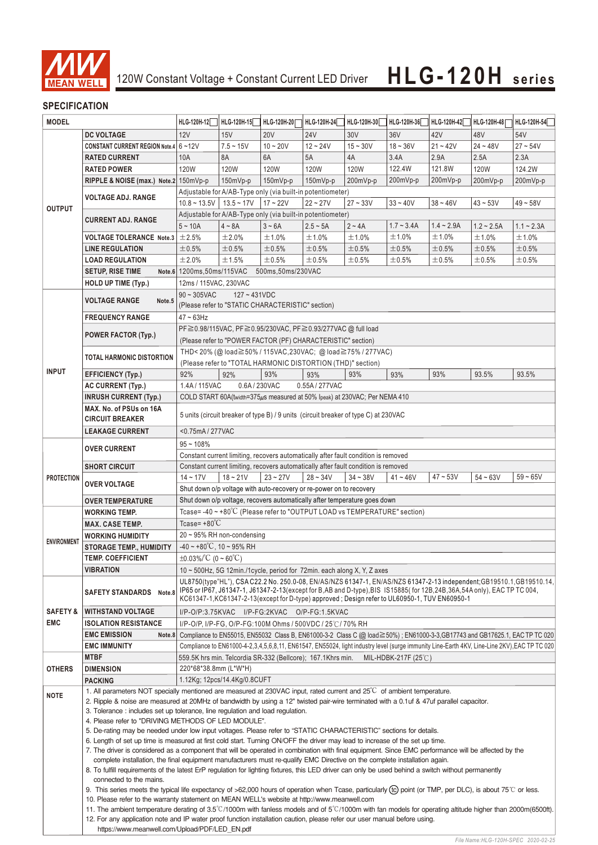

### **SPECIFICATION**

| <b>MODEL</b>        |                                                                                                                                                            | HLG-120H-12                                                                                                                                                                                                                                                                                                                                                                                                                              | HLG-120H-15                  | HLG-120H-20        | HLG-120H-24                                                                         | HLG-120H-30 | HLG-120H-36              | HLG-120H-42  | HLG-120H-48  | HLG-120H-54                                                                                                                                  |  |
|---------------------|------------------------------------------------------------------------------------------------------------------------------------------------------------|------------------------------------------------------------------------------------------------------------------------------------------------------------------------------------------------------------------------------------------------------------------------------------------------------------------------------------------------------------------------------------------------------------------------------------------|------------------------------|--------------------|-------------------------------------------------------------------------------------|-------------|--------------------------|--------------|--------------|----------------------------------------------------------------------------------------------------------------------------------------------|--|
|                     | <b>DC VOLTAGE</b>                                                                                                                                          | 12V                                                                                                                                                                                                                                                                                                                                                                                                                                      | 15V                          | <b>20V</b>         | <b>24V</b>                                                                          | 30V         | 36V                      | 42V          | 48V          | 54V                                                                                                                                          |  |
|                     | CONSTANT CURRENT REGION Note.4 6~12V                                                                                                                       |                                                                                                                                                                                                                                                                                                                                                                                                                                          | $7.5 - 15V$                  | $10 - 20V$         | $12 - 24V$                                                                          | $15 - 30V$  | $18 - 36V$               | $21 - 42V$   | $24 - 48V$   | $27 - 54V$                                                                                                                                   |  |
|                     | <b>RATED CURRENT</b>                                                                                                                                       | 10A                                                                                                                                                                                                                                                                                                                                                                                                                                      | 8A                           | 6A                 | 5A                                                                                  | 4A          | 3.4A                     | 2.9A         | 2.5A         | 2.3A                                                                                                                                         |  |
|                     | <b>RATED POWER</b>                                                                                                                                         | 120W                                                                                                                                                                                                                                                                                                                                                                                                                                     | <b>120W</b>                  | 120W               | 120W                                                                                | <b>120W</b> | 122.4W                   | 121.8W       | 120W         | 124.2W                                                                                                                                       |  |
|                     | RIPPLE & NOISE (max.) Note.2 150mVp-p                                                                                                                      |                                                                                                                                                                                                                                                                                                                                                                                                                                          | 150mVp-p                     | 150mVp-p           | 150mVp-p                                                                            | 200mVp-p    | 200mVp-p                 | 200mVp-p     | 200mVp-p     | 200mVp-p                                                                                                                                     |  |
|                     |                                                                                                                                                            |                                                                                                                                                                                                                                                                                                                                                                                                                                          |                              |                    | Adjustable for A/AB-Type only (via built-in potentiometer)                          |             |                          |              |              |                                                                                                                                              |  |
|                     | <b>VOLTAGE ADJ. RANGE</b>                                                                                                                                  | $10.8 \sim 13.5V$ 13.5 ~ 17V                                                                                                                                                                                                                                                                                                                                                                                                             |                              | $17 - 22V$         | $22 - 27V$                                                                          | $27 - 33V$  | $33 - 40V$               | $38 - 46V$   | $43 - 53V$   | $49 - 58V$                                                                                                                                   |  |
| <b>OUTPUT</b>       |                                                                                                                                                            |                                                                                                                                                                                                                                                                                                                                                                                                                                          |                              |                    | Adjustable for A/AB-Type only (via built-in potentiometer)                          |             |                          |              |              |                                                                                                                                              |  |
|                     | <b>CURRENT ADJ. RANGE</b><br><b>VOLTAGE TOLERANCE Note.3</b>                                                                                               | $5 - 10A$                                                                                                                                                                                                                                                                                                                                                                                                                                | $4 \sim 8A$                  | $3~$<br>6A         | $2.5 - 5A$                                                                          | $2 - 4A$    | $1.7 - 3.4A$             | $1.4 - 2.9A$ | $1.2 - 2.5A$ | $1.1 - 2.3A$                                                                                                                                 |  |
|                     |                                                                                                                                                            | $\pm 2.5\%$                                                                                                                                                                                                                                                                                                                                                                                                                              | ±2.0%                        | ±1.0%              | ±1.0%                                                                               | ±1.0%       | ±1.0%                    | ±1.0%        | ±1.0%        | ±1.0%                                                                                                                                        |  |
|                     | <b>LINE REGULATION</b>                                                                                                                                     | ±0.5%                                                                                                                                                                                                                                                                                                                                                                                                                                    | ±0.5%                        | ±0.5%              | ±0.5%                                                                               | ±0.5%       | ±0.5%                    | ±0.5%        | ±0.5%        | $\pm 0.5\%$                                                                                                                                  |  |
|                     | <b>LOAD REGULATION</b>                                                                                                                                     | ±2.0%                                                                                                                                                                                                                                                                                                                                                                                                                                    | ±1.5%                        | ±0.5%              | ±0.5%                                                                               | ±0.5%       | ±0.5%                    | ±0.5%        | $\pm 0.5\%$  | ±0.5%                                                                                                                                        |  |
|                     | <b>SETUP, RISE TIME</b>                                                                                                                                    | Note.6 1200ms, 50ms/115VAC                                                                                                                                                                                                                                                                                                                                                                                                               |                              | 500ms, 50ms/230VAC |                                                                                     |             |                          |              |              |                                                                                                                                              |  |
|                     | <b>HOLD UP TIME (Typ.)</b>                                                                                                                                 | 12ms / 115VAC, 230VAC                                                                                                                                                                                                                                                                                                                                                                                                                    |                              |                    |                                                                                     |             |                          |              |              |                                                                                                                                              |  |
|                     |                                                                                                                                                            | $90 \sim 305$ VAC                                                                                                                                                                                                                                                                                                                                                                                                                        | $127 - 431VDC$               |                    |                                                                                     |             |                          |              |              |                                                                                                                                              |  |
|                     | <b>VOLTAGE RANGE</b><br>Note.5                                                                                                                             |                                                                                                                                                                                                                                                                                                                                                                                                                                          |                              |                    |                                                                                     |             |                          |              |              |                                                                                                                                              |  |
|                     | <b>FREQUENCY RANGE</b>                                                                                                                                     | (Please refer to "STATIC CHARACTERISTIC" section)<br>$47 \sim 63$ Hz                                                                                                                                                                                                                                                                                                                                                                     |                              |                    |                                                                                     |             |                          |              |              |                                                                                                                                              |  |
|                     |                                                                                                                                                            |                                                                                                                                                                                                                                                                                                                                                                                                                                          |                              |                    | PF≧0.98/115VAC, PF≧0.95/230VAC, PF≧0.93/277VAC @ full load                          |             |                          |              |              |                                                                                                                                              |  |
|                     | <b>POWER FACTOR (Typ.)</b>                                                                                                                                 |                                                                                                                                                                                                                                                                                                                                                                                                                                          |                              |                    | (Please refer to "POWER FACTOR (PF) CHARACTERISTIC" section)                        |             |                          |              |              |                                                                                                                                              |  |
|                     |                                                                                                                                                            |                                                                                                                                                                                                                                                                                                                                                                                                                                          |                              |                    | THD<20% (@load≧50% / 115VAC,230VAC; @load≧75% / 277VAC)                             |             |                          |              |              |                                                                                                                                              |  |
|                     | <b>TOTAL HARMONIC DISTORTION</b>                                                                                                                           |                                                                                                                                                                                                                                                                                                                                                                                                                                          |                              |                    | (Please refer to "TOTAL HARMONIC DISTORTION (THD)" section)                         |             |                          |              |              |                                                                                                                                              |  |
| <b>INPUT</b>        | <b>EFFICIENCY (Typ.)</b>                                                                                                                                   | 92%                                                                                                                                                                                                                                                                                                                                                                                                                                      | 92%                          | 93%                | 93%                                                                                 | 93%         | 93%                      | 93%          | 93.5%        | 93.5%                                                                                                                                        |  |
|                     | <b>AC CURRENT (Typ.)</b>                                                                                                                                   | 1.4A / 115VAC                                                                                                                                                                                                                                                                                                                                                                                                                            | 0.6A / 230VAC                |                    | 0.55A/277VAC                                                                        |             |                          |              |              |                                                                                                                                              |  |
|                     | <b>INRUSH CURRENT (Typ.)</b>                                                                                                                               |                                                                                                                                                                                                                                                                                                                                                                                                                                          |                              |                    | COLD START 60A(twidth=375µs measured at 50% lpeak) at 230VAC; Per NEMA 410          |             |                          |              |              |                                                                                                                                              |  |
|                     | MAX. No. of PSUs on 16A                                                                                                                                    |                                                                                                                                                                                                                                                                                                                                                                                                                                          |                              |                    |                                                                                     |             |                          |              |              |                                                                                                                                              |  |
|                     | <b>CIRCUIT BREAKER</b>                                                                                                                                     |                                                                                                                                                                                                                                                                                                                                                                                                                                          |                              |                    | 5 units (circuit breaker of type B) / 9 units (circuit breaker of type C) at 230VAC |             |                          |              |              |                                                                                                                                              |  |
|                     | <b>LEAKAGE CURRENT</b>                                                                                                                                     |                                                                                                                                                                                                                                                                                                                                                                                                                                          | <0.75mA/277VAC               |                    |                                                                                     |             |                          |              |              |                                                                                                                                              |  |
|                     |                                                                                                                                                            | $95 - 108%$                                                                                                                                                                                                                                                                                                                                                                                                                              |                              |                    |                                                                                     |             |                          |              |              |                                                                                                                                              |  |
|                     | <b>OVER CURRENT</b>                                                                                                                                        | Constant current limiting, recovers automatically after fault condition is removed                                                                                                                                                                                                                                                                                                                                                       |                              |                    |                                                                                     |             |                          |              |              |                                                                                                                                              |  |
|                     | <b>SHORT CIRCUIT</b>                                                                                                                                       | Constant current limiting, recovers automatically after fault condition is removed                                                                                                                                                                                                                                                                                                                                                       |                              |                    |                                                                                     |             |                          |              |              |                                                                                                                                              |  |
| <b>PROTECTION</b>   |                                                                                                                                                            | $14 - 17V$                                                                                                                                                                                                                                                                                                                                                                                                                               | $18 - 21V$                   | $23 - 27V$         | $28 - 34V$                                                                          | $34 - 38V$  | $41 - 46V$               | $47 - 53V$   | $54 - 63V$   | $59 - 65V$                                                                                                                                   |  |
|                     | <b>OVER VOLTAGE</b>                                                                                                                                        |                                                                                                                                                                                                                                                                                                                                                                                                                                          |                              |                    | Shut down o/p voltage with auto-recovery or re-power on to recovery                 |             |                          |              |              |                                                                                                                                              |  |
|                     | <b>OVER TEMPERATURE</b>                                                                                                                                    |                                                                                                                                                                                                                                                                                                                                                                                                                                          |                              |                    | Shut down o/p voltage, recovers automatically after temperature goes down           |             |                          |              |              |                                                                                                                                              |  |
|                     | <b>WORKING TEMP.</b>                                                                                                                                       |                                                                                                                                                                                                                                                                                                                                                                                                                                          |                              |                    | Tcase=-40 ~ +80°C (Please refer to "OUTPUT LOAD vs TEMPERATURE" section)            |             |                          |              |              |                                                                                                                                              |  |
|                     | <b>MAX. CASE TEMP.</b>                                                                                                                                     | Tcase= $+80^{\circ}C$                                                                                                                                                                                                                                                                                                                                                                                                                    |                              |                    |                                                                                     |             |                          |              |              |                                                                                                                                              |  |
|                     | <b>WORKING HUMIDITY</b>                                                                                                                                    | $20 \sim 95\%$ RH non-condensing                                                                                                                                                                                                                                                                                                                                                                                                         |                              |                    |                                                                                     |             |                          |              |              |                                                                                                                                              |  |
| <b>ENVIRONMENT</b>  | <b>STORAGE TEMP., HUMIDITY</b>                                                                                                                             | $-40 - 80^{\circ}$ C, 10 ~ 95% RH                                                                                                                                                                                                                                                                                                                                                                                                        |                              |                    |                                                                                     |             |                          |              |              |                                                                                                                                              |  |
|                     | TEMP. COEFFICIENT                                                                                                                                          | ±0.03% $\degree$ C (0 ~ 60 $\degree$ C)                                                                                                                                                                                                                                                                                                                                                                                                  |                              |                    |                                                                                     |             |                          |              |              |                                                                                                                                              |  |
|                     | <b>VIBRATION</b>                                                                                                                                           |                                                                                                                                                                                                                                                                                                                                                                                                                                          |                              |                    |                                                                                     |             |                          |              |              |                                                                                                                                              |  |
|                     |                                                                                                                                                            | 10 $\sim$ 500Hz, 5G 12min./1 cycle, period for 72min. each along X, Y, Z axes<br>UL8750(type"HL"), CSA C22.2 No. 250.0-08, EN/AS/NZS 61347-1, EN/AS/NZS 61347-2-13 independent; GB19510.1, GB19510.14,                                                                                                                                                                                                                                   |                              |                    |                                                                                     |             |                          |              |              |                                                                                                                                              |  |
|                     | SAFETY STANDARDS Note.8                                                                                                                                    | IP65 or IP67, J61347-1, J61347-2-13(except for B,AB and D-type),BIS IS15885(for 12B,24B,36A,54A only), EAC TP TC 004,                                                                                                                                                                                                                                                                                                                    |                              |                    |                                                                                     |             |                          |              |              |                                                                                                                                              |  |
|                     |                                                                                                                                                            | KC61347-1,KC61347-2-13(except for D-type) approved ; Design refer to UL60950-1, TUV EN60950-1                                                                                                                                                                                                                                                                                                                                            |                              |                    |                                                                                     |             |                          |              |              |                                                                                                                                              |  |
| <b>SAFETY &amp;</b> | <b>WITHSTAND VOLTAGE</b>                                                                                                                                   |                                                                                                                                                                                                                                                                                                                                                                                                                                          |                              |                    | I/P-O/P:3.75KVAC I/P-FG:2KVAC O/P-FG:1.5KVAC                                        |             |                          |              |              |                                                                                                                                              |  |
| EMC                 | <b>ISOLATION RESISTANCE</b>                                                                                                                                |                                                                                                                                                                                                                                                                                                                                                                                                                                          |                              |                    | I/P-O/P, I/P-FG, O/P-FG:100M Ohms / 500VDC / 25℃/70% RH                             |             |                          |              |              |                                                                                                                                              |  |
|                     | <b>EMC EMISSION</b>                                                                                                                                        |                                                                                                                                                                                                                                                                                                                                                                                                                                          |                              |                    |                                                                                     |             |                          |              |              | Note.8 Compliance to EN55015, EN55032 Class B, EN61000-3-2 Class C (@ load≧50%) ; EN61000-3-3,GB17743 and GB17625.1, EAC TP TC 020           |  |
|                     | <b>EMC IMMUNITY</b>                                                                                                                                        |                                                                                                                                                                                                                                                                                                                                                                                                                                          |                              |                    |                                                                                     |             |                          |              |              | Compliance to EN61000-4-2,3,4,5,6,8,11, EN61547, EN55024, light industry level (surge immunity Line-Earth 4KV, Line-Line 2KV), EAC TP TC 020 |  |
| <b>OTHERS</b>       | <b>MTBF</b>                                                                                                                                                | 220*68*38.8mm (L*W*H)                                                                                                                                                                                                                                                                                                                                                                                                                    |                              |                    | 559.5K hrs min. Telcordia SR-332 (Bellcore); 167.1Khrs min.                         |             | MIL-HDBK-217F (25 $°C$ ) |              |              |                                                                                                                                              |  |
|                     | <b>DIMENSION</b>                                                                                                                                           |                                                                                                                                                                                                                                                                                                                                                                                                                                          | 1.12Kg; 12pcs/14.4Kg/0.8CUFT |                    |                                                                                     |             |                          |              |              |                                                                                                                                              |  |
|                     | <b>PACKING</b><br>1. All parameters NOT specially mentioned are measured at 230VAC input, rated current and 25°C of ambient temperature.                   |                                                                                                                                                                                                                                                                                                                                                                                                                                          |                              |                    |                                                                                     |             |                          |              |              |                                                                                                                                              |  |
| <b>NOTE</b>         | 2. Ripple & noise are measured at 20MHz of bandwidth by using a 12" twisted pair-wire terminated with a 0.1uf & 47uf parallel capacitor.                   |                                                                                                                                                                                                                                                                                                                                                                                                                                          |                              |                    |                                                                                     |             |                          |              |              |                                                                                                                                              |  |
|                     | 3. Tolerance: includes set up tolerance, line regulation and load regulation.                                                                              |                                                                                                                                                                                                                                                                                                                                                                                                                                          |                              |                    |                                                                                     |             |                          |              |              |                                                                                                                                              |  |
|                     | 4. Please refer to "DRIVING METHODS OF LED MODULE".                                                                                                        |                                                                                                                                                                                                                                                                                                                                                                                                                                          |                              |                    |                                                                                     |             |                          |              |              |                                                                                                                                              |  |
|                     | 5. De-rating may be needed under low input voltages. Please refer to "STATIC CHARACTERISTIC" sections for details.                                         |                                                                                                                                                                                                                                                                                                                                                                                                                                          |                              |                    |                                                                                     |             |                          |              |              |                                                                                                                                              |  |
|                     | 6. Length of set up time is measured at first cold start. Turning ON/OFF the driver may lead to increase of the set up time.                               |                                                                                                                                                                                                                                                                                                                                                                                                                                          |                              |                    |                                                                                     |             |                          |              |              |                                                                                                                                              |  |
|                     |                                                                                                                                                            | 7. The driver is considered as a component that will be operated in combination with final equipment. Since EMC performance will be affected by the<br>complete installation, the final equipment manufacturers must re-qualify EMC Directive on the complete installation again.<br>8. To fulfill requirements of the latest ErP regulation for lighting fixtures, this LED driver can only be used behind a switch without permanently |                              |                    |                                                                                     |             |                          |              |              |                                                                                                                                              |  |
|                     |                                                                                                                                                            |                                                                                                                                                                                                                                                                                                                                                                                                                                          |                              |                    |                                                                                     |             |                          |              |              |                                                                                                                                              |  |
|                     | connected to the mains.                                                                                                                                    |                                                                                                                                                                                                                                                                                                                                                                                                                                          |                              |                    |                                                                                     |             |                          |              |              |                                                                                                                                              |  |
|                     | 9. This series meets the typical life expectancy of >62,000 hours of operation when Tcase, particularly (to point (or TMP, per DLC), is about 75℃ or less. |                                                                                                                                                                                                                                                                                                                                                                                                                                          |                              |                    |                                                                                     |             |                          |              |              |                                                                                                                                              |  |
|                     |                                                                                                                                                            | 10. Please refer to the warranty statement on MEAN WELL's website at http://www.meanwell.com<br>11. The ambient temperature derating of 3.5°C/1000m with fanless models and of 5°C/1000m with fan models for operating altitude higher than 2000m(6500ft).<br>12. For any application note and IP water proof function installation caution, please refer our user manual before using.                                                  |                              |                    |                                                                                     |             |                          |              |              |                                                                                                                                              |  |
|                     |                                                                                                                                                            |                                                                                                                                                                                                                                                                                                                                                                                                                                          |                              |                    |                                                                                     |             |                          |              |              |                                                                                                                                              |  |
|                     |                                                                                                                                                            |                                                                                                                                                                                                                                                                                                                                                                                                                                          |                              |                    |                                                                                     |             |                          |              |              |                                                                                                                                              |  |
|                     |                                                                                                                                                            | https://www.meanwell.com/Upload/PDF/LED EN.pdf                                                                                                                                                                                                                                                                                                                                                                                           |                              |                    |                                                                                     |             |                          |              |              |                                                                                                                                              |  |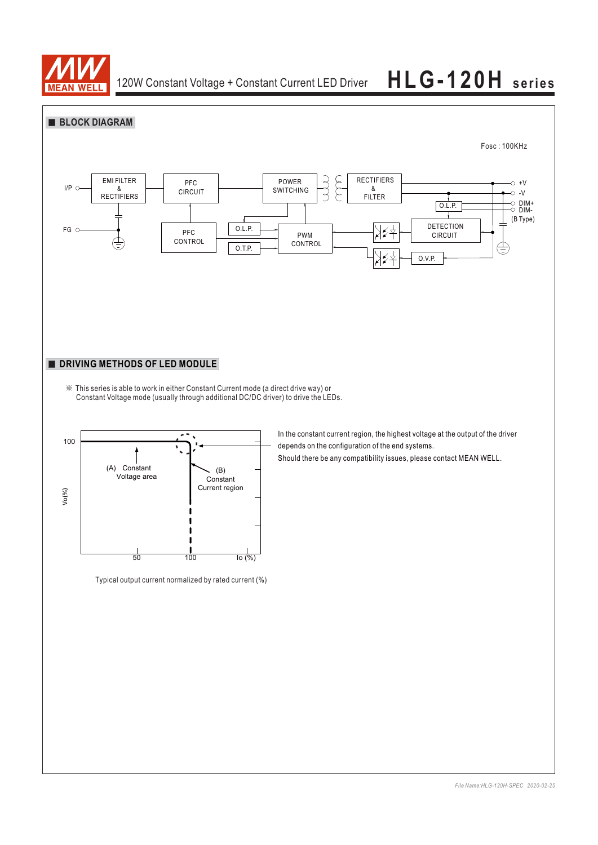

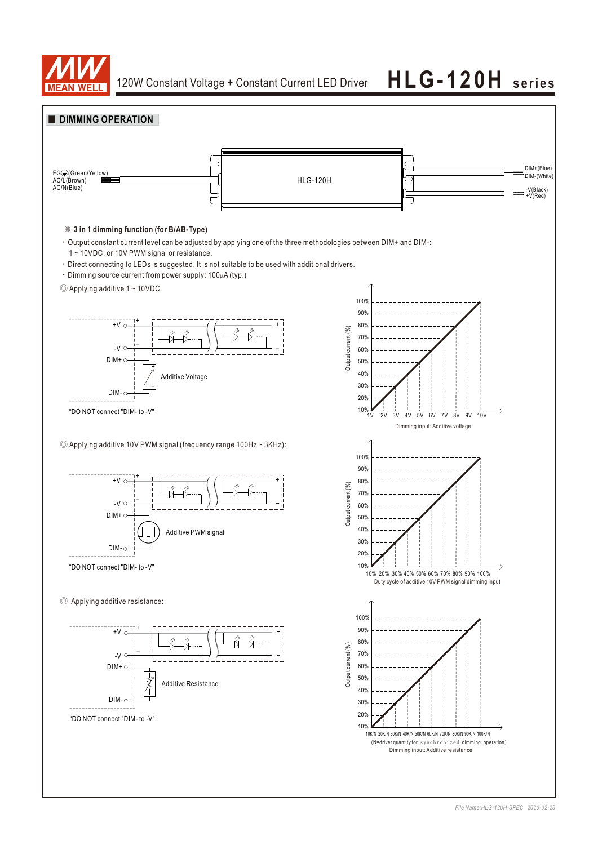

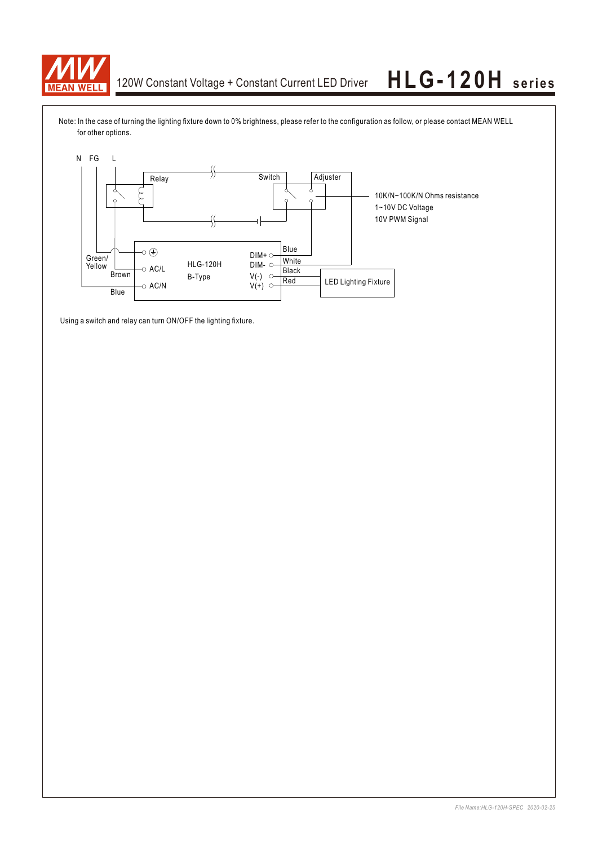

Note: In the case of turning the lighting fixture down to 0% brightness, please refer to the configuration as follow, or please contact MEAN WELL for other options.



Using a switch and relay can turn ON/OFF the lighting fixture.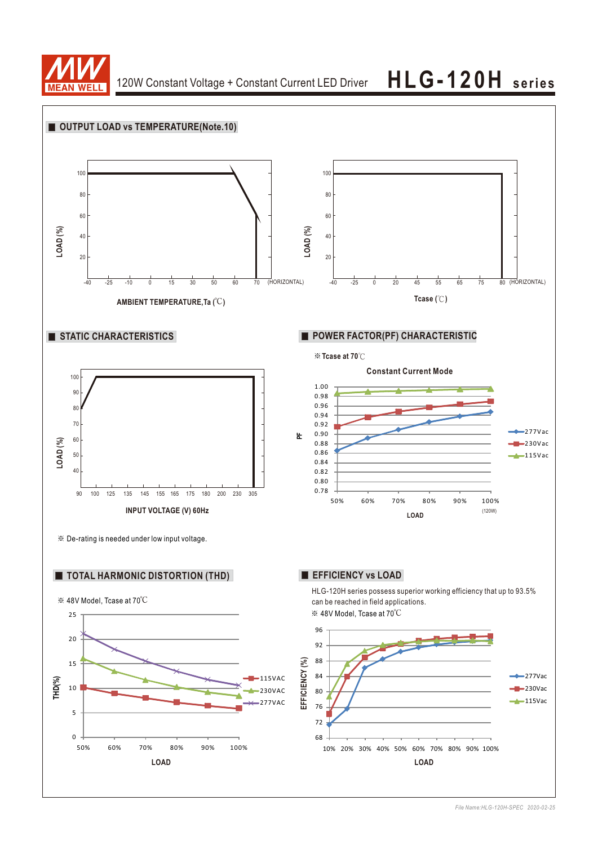

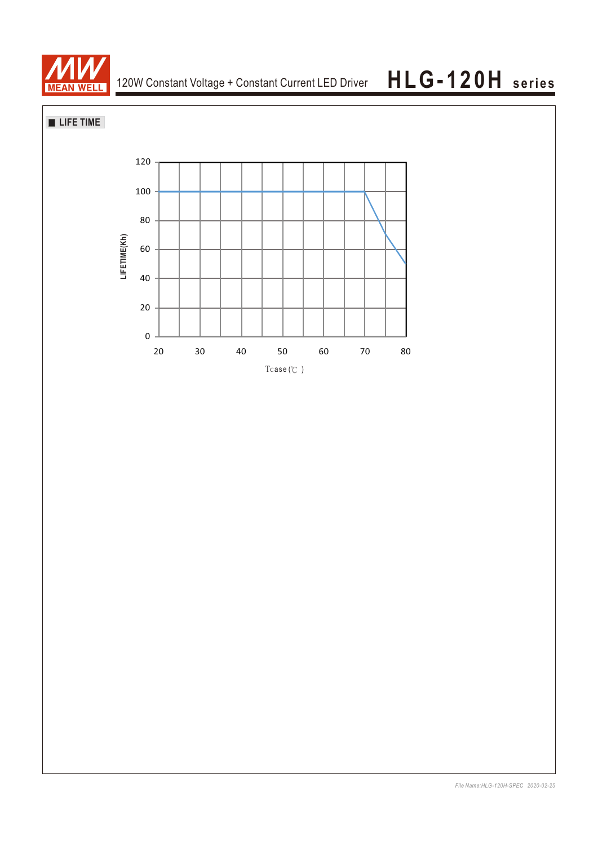

## **LIFE TIME**

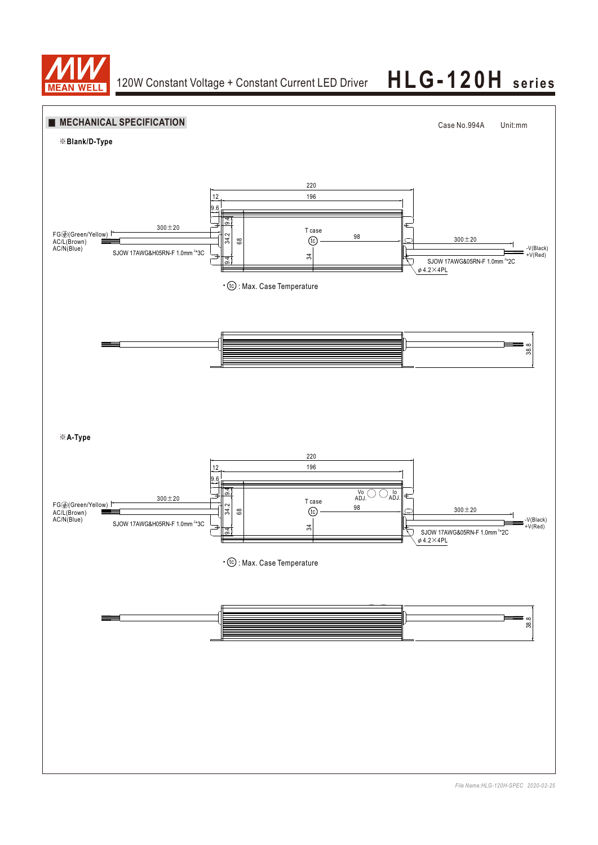

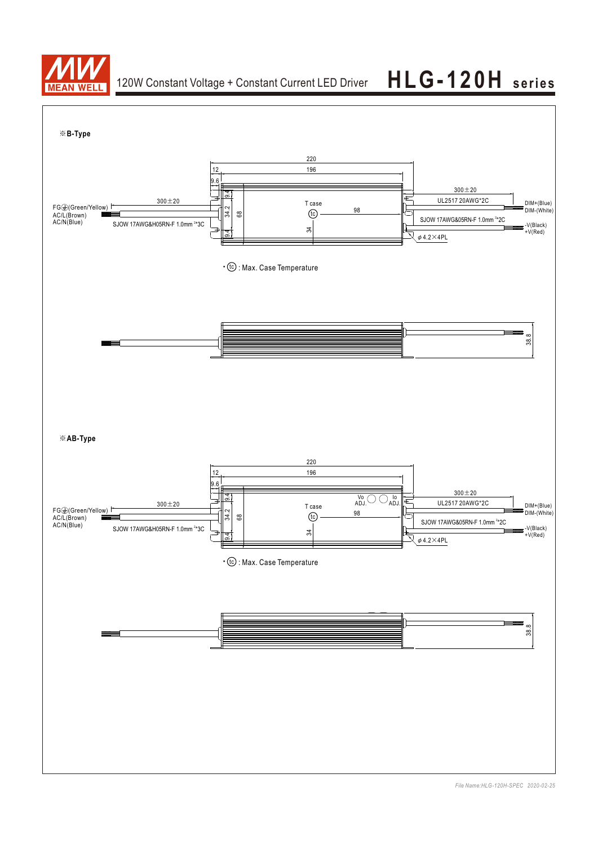